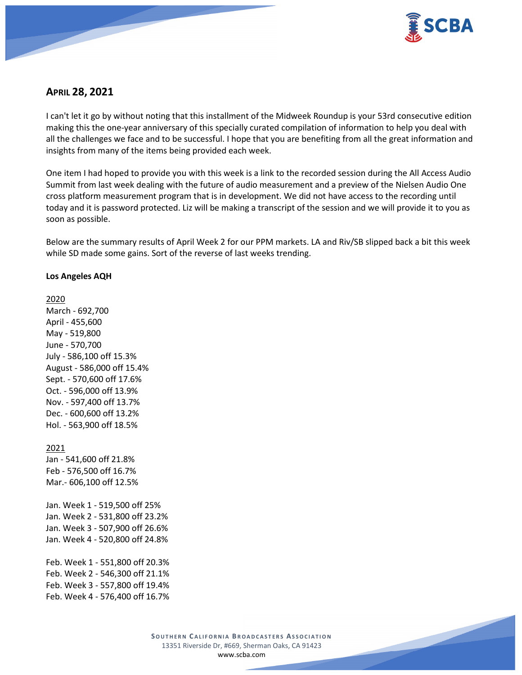

# **APRIL 28, 2021**

I can't let it go by without noting that this installment of the Midweek Roundup is your 53rd consecutive edition making this the one-year anniversary of this specially curated compilation of information to help you deal with all the challenges we face and to be successful. I hope that you are benefiting from all the great information and insights from many of the items being provided each week.

One item I had hoped to provide you with this week is a link to the recorded session during the All Access Audio Summit from last week dealing with the future of audio measurement and a preview of the Nielsen Audio One cross platform measurement program that is in development. We did not have access to the recording until today and it is password protected. Liz will be making a transcript of the session and we will provide it to you as soon as possible.

Below are the summary results of April Week 2 for our PPM markets. LA and Riv/SB slipped back a bit this week while SD made some gains. Sort of the reverse of last weeks trending.

### **Los Angeles AQH**

2020

March - 692,700 April - 455,600 May - 519,800 June - 570,700 July - 586,100 off 15.3% August - 586,000 off 15.4% Sept. - 570,600 off 17.6% Oct. - 596,000 off 13.9% Nov. - 597,400 off 13.7% Dec. - 600,600 off 13.2% Hol. - 563,900 off 18.5% 2021 Jan - 541,600 off 21.8% Feb - 576,500 off 16.7% Mar.- 606,100 off 12.5% Jan. Week 1 - 519,500 off 25% Jan. Week 2 - 531,800 off 23.2% Jan. Week 3 - 507,900 off 26.6% Jan. Week 4 - 520,800 off 24.8% Feb. Week 1 - 551,800 off 20.3% Feb. Week 2 - 546,300 off 21.1% Feb. Week 3 - 557,800 off 19.4% Feb. Week 4 - 576,400 off 16.7%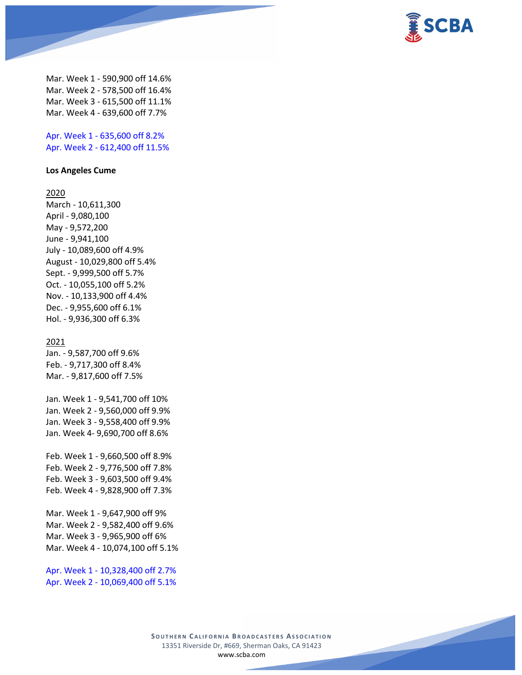

Mar. Week 1 - 590,900 off 14.6% Mar. Week 2 - 578,500 off 16.4% Mar. Week 3 - 615,500 off 11.1% Mar. Week 4 - 639,600 off 7.7%

Apr. Week 1 - 635,600 off 8.2% Apr. Week 2 - 612,400 off 11.5%

#### **Los Angeles Cume**

#### 2020

March - 10,611,300 April - 9,080,100 May - 9,572,200 June - 9,941,100 July - 10,089,600 off 4.9% August - 10,029,800 off 5.4% Sept. - 9,999,500 off 5.7% Oct. - 10,055,100 off 5.2% Nov. - 10,133,900 off 4.4% Dec. - 9,955,600 off 6.1% Hol. - 9,936,300 off 6.3%

#### 2021

Jan. - 9,587,700 off 9.6% Feb. - 9,717,300 off 8.4% Mar. - 9,817,600 off 7.5%

Jan. Week 1 - 9,541,700 off 10% Jan. Week 2 - 9,560,000 off 9.9% Jan. Week 3 - 9,558,400 off 9.9% Jan. Week 4- 9,690,700 off 8.6%

Feb. Week 1 - 9,660,500 off 8.9% Feb. Week 2 - 9,776,500 off 7.8% Feb. Week 3 - 9,603,500 off 9.4% Feb. Week 4 - 9,828,900 off 7.3%

Mar. Week 1 - 9,647,900 off 9% Mar. Week 2 - 9,582,400 off 9.6% Mar. Week 3 - 9,965,900 off 6% Mar. Week 4 - 10,074,100 off 5.1%

Apr. Week 1 - 10,328,400 off 2.7% Apr. Week 2 - 10,069,400 off 5.1%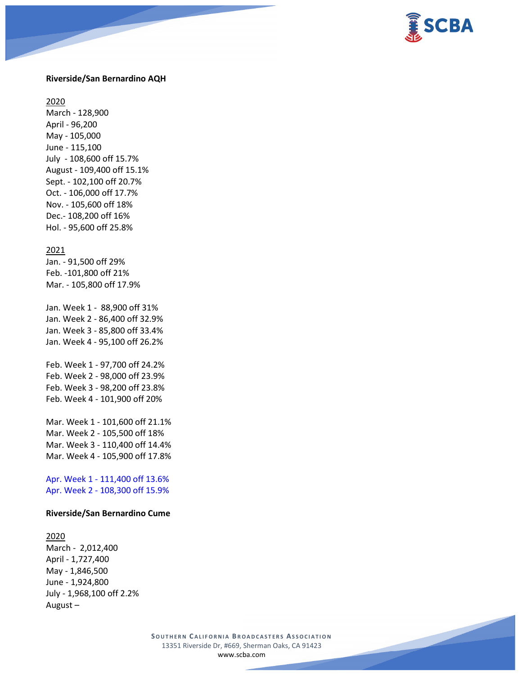

#### **Riverside/San Bernardino AQH**

2020

March - 128,900 April - 96,200 May - 105,000 June - 115,100 July - 108,600 off 15.7% August - 109,400 off 15.1% Sept. - 102,100 off 20.7% Oct. - 106,000 off 17.7% Nov. - 105,600 off 18% Dec.- 108,200 off 16% Hol. - 95,600 off 25.8%

#### 2021

Jan. - 91,500 off 29% Feb. -101,800 off 21% Mar. - 105,800 off 17.9%

Jan. Week 1 - 88,900 off 31% Jan. Week 2 - 86,400 off 32.9% Jan. Week 3 - 85,800 off 33.4% Jan. Week 4 - 95,100 off 26.2%

Feb. Week 1 - 97,700 off 24.2% Feb. Week 2 - 98,000 off 23.9% Feb. Week 3 - 98,200 off 23.8% Feb. Week 4 - 101,900 off 20%

Mar. Week 1 - 101,600 off 21.1% Mar. Week 2 - 105,500 off 18% Mar. Week 3 - 110,400 off 14.4% Mar. Week 4 - 105,900 off 17.8%

Apr. Week 1 - 111,400 off 13.6% Apr. Week 2 - 108,300 off 15.9%

#### **Riverside/San Bernardino Cume**

### 2020

March - 2,012,400 April - 1,727,400 May - 1,846,500 June - 1,924,800 July - 1,968,100 off 2.2% August –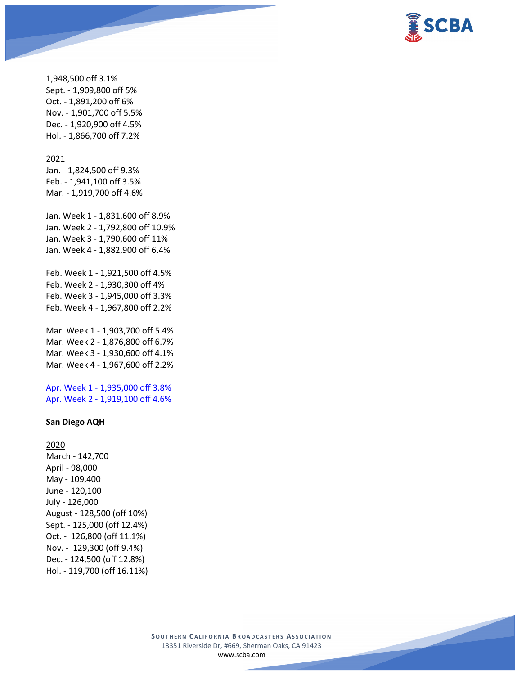

1,948,500 off 3.1% Sept. - 1,909,800 off 5% Oct. - 1,891,200 off 6% Nov. - 1,901,700 off 5.5% Dec. - 1,920,900 off 4.5% Hol. - 1,866,700 off 7.2%

#### 2021

Jan. - 1,824,500 off 9.3% Feb. - 1,941,100 off 3.5% Mar. - 1,919,700 off 4.6%

Jan. Week 1 - 1,831,600 off 8.9% Jan. Week 2 - 1,792,800 off 10.9% Jan. Week 3 - 1,790,600 off 11% Jan. Week 4 - 1,882,900 off 6.4%

Feb. Week 1 - 1,921,500 off 4.5% Feb. Week 2 - 1,930,300 off 4% Feb. Week 3 - 1,945,000 off 3.3% Feb. Week 4 - 1,967,800 off 2.2%

Mar. Week 1 - 1,903,700 off 5.4% Mar. Week 2 - 1,876,800 off 6.7% Mar. Week 3 - 1,930,600 off 4.1% Mar. Week 4 - 1,967,600 off 2.2%

Apr. Week 1 - 1,935,000 off 3.8% Apr. Week 2 - 1,919,100 off 4.6%

#### **San Diego AQH**

2020 March - 142,700 April - 98,000 May - 109,400 June - 120,100 July - 126,000 August - 128,500 (off 10%) Sept. - 125,000 (off 12.4%) Oct. - 126,800 (off 11.1%) Nov. - 129,300 (off 9.4%) Dec. - 124,500 (off 12.8%) Hol. - 119,700 (off 16.11%)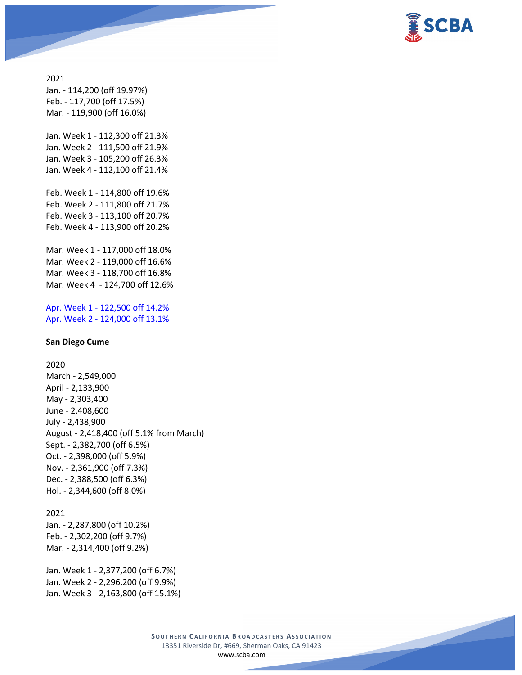

### 2021 Jan. - 114,200 (off 19.97%)

Feb. - 117,700 (off 17.5%) Mar. - 119,900 (off 16.0%)

Jan. Week 1 - 112,300 off 21.3% Jan. Week 2 - 111,500 off 21.9% Jan. Week 3 - 105,200 off 26.3% Jan. Week 4 - 112,100 off 21.4%

Feb. Week 1 - 114,800 off 19.6% Feb. Week 2 - 111,800 off 21.7% Feb. Week 3 - 113,100 off 20.7% Feb. Week 4 - 113,900 off 20.2%

Mar. Week 1 - 117,000 off 18.0% Mar. Week 2 - 119,000 off 16.6% Mar. Week 3 - 118,700 off 16.8% Mar. Week 4 - 124,700 off 12.6%

Apr. Week 1 - 122,500 off 14.2% Apr. Week 2 - 124,000 off 13.1%

#### **San Diego Cume**

### 2020

March - 2,549,000 April - 2,133,900 May - 2,303,400 June - 2,408,600 July - 2,438,900 August - 2,418,400 (off 5.1% from March) Sept. - 2,382,700 (off 6.5%) Oct. - 2,398,000 (off 5.9%) Nov. - 2,361,900 (off 7.3%) Dec. - 2,388,500 (off 6.3%) Hol. - 2,344,600 (off 8.0%)

#### 2021

Jan. - 2,287,800 (off 10.2%) Feb. - 2,302,200 (off 9.7%) Mar. - 2,314,400 (off 9.2%)

Jan. Week 1 - 2,377,200 (off 6.7%) Jan. Week 2 - 2,296,200 (off 9.9%) Jan. Week 3 - 2,163,800 (off 15.1%)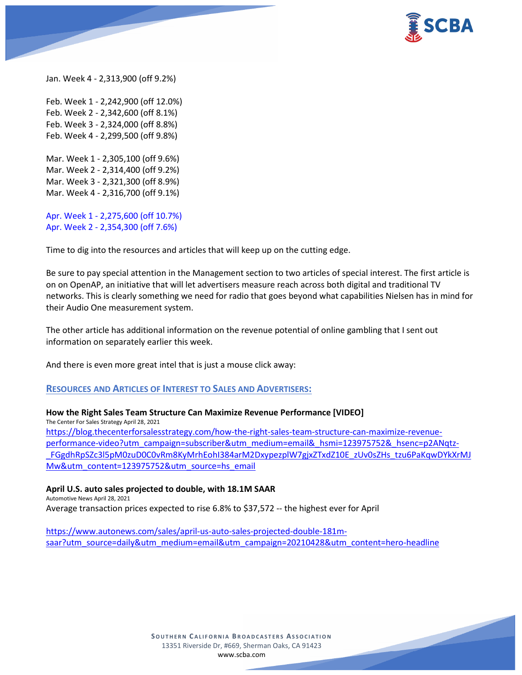

Jan. Week 4 - 2,313,900 (off 9.2%)

Feb. Week 1 - 2,242,900 (off 12.0%) Feb. Week 2 - 2,342,600 (off 8.1%) Feb. Week 3 - 2,324,000 (off 8.8%) Feb. Week 4 - 2,299,500 (off 9.8%) Mar. Week 1 - 2,305,100 (off 9.6%) Mar. Week 2 - 2,314,400 (off 9.2%) Mar. Week 3 - 2,321,300 (off 8.9%) Mar. Week 4 - 2,316,700 (off 9.1%)

Apr. Week 1 - 2,275,600 (off 10.7%) Apr. Week 2 - 2,354,300 (off 7.6%)

Time to dig into the resources and articles that will keep up on the cutting edge.

Be sure to pay special attention in the Management section to two articles of special interest. The first article is on on OpenAP, an initiative that will let advertisers measure reach across both digital and traditional TV networks. This is clearly something we need for radio that goes beyond what capabilities Nielsen has in mind for their Audio One measurement system.

The other article has additional information on the revenue potential of online gambling that I sent out information on separately earlier this week.

And there is even more great intel that is just a mouse click away:

#### **RESOURCES AND ARTICLES OF INTEREST TO SALES AND ADVERTISERS:**

**How the Right Sales Team Structure Can Maximize Revenue Performance [VIDEO]** The Center For Sales Strategy April 28, 2021 [https://blog.thecenterforsalesstrategy.com/how-the-right-sales-team-structure-can-maximize-revenue](https://blog.thecenterforsalesstrategy.com/how-the-right-sales-team-structure-can-maximize-revenue-performance-video?utm_campaign=subscriber&utm_medium=email&_hsmi=123975752&_hsenc=p2ANqtz-_FGgdhRpSZc3l5pM0zuD0C0vRm8KyMrhEohI384arM2DxypezplW7gjxZTxdZ10E_zUv0sZHs_tzu6PaKqwDYkXrMJMw&utm_content=123975752&utm_source=hs_email)[performance-video?utm\\_campaign=subscriber&utm\\_medium=email&\\_hsmi=123975752&\\_hsenc=p2ANqtz-](https://blog.thecenterforsalesstrategy.com/how-the-right-sales-team-structure-can-maximize-revenue-performance-video?utm_campaign=subscriber&utm_medium=email&_hsmi=123975752&_hsenc=p2ANqtz-_FGgdhRpSZc3l5pM0zuD0C0vRm8KyMrhEohI384arM2DxypezplW7gjxZTxdZ10E_zUv0sZHs_tzu6PaKqwDYkXrMJMw&utm_content=123975752&utm_source=hs_email) [\\_FGgdhRpSZc3l5pM0zuD0C0vRm8KyMrhEohI384arM2DxypezplW7gjxZTxdZ10E\\_zUv0sZHs\\_tzu6PaKqwDYkXrMJ](https://blog.thecenterforsalesstrategy.com/how-the-right-sales-team-structure-can-maximize-revenue-performance-video?utm_campaign=subscriber&utm_medium=email&_hsmi=123975752&_hsenc=p2ANqtz-_FGgdhRpSZc3l5pM0zuD0C0vRm8KyMrhEohI384arM2DxypezplW7gjxZTxdZ10E_zUv0sZHs_tzu6PaKqwDYkXrMJMw&utm_content=123975752&utm_source=hs_email) [Mw&utm\\_content=123975752&utm\\_source=hs\\_email](https://blog.thecenterforsalesstrategy.com/how-the-right-sales-team-structure-can-maximize-revenue-performance-video?utm_campaign=subscriber&utm_medium=email&_hsmi=123975752&_hsenc=p2ANqtz-_FGgdhRpSZc3l5pM0zuD0C0vRm8KyMrhEohI384arM2DxypezplW7gjxZTxdZ10E_zUv0sZHs_tzu6PaKqwDYkXrMJMw&utm_content=123975752&utm_source=hs_email)

#### **April U.S. auto sales projected to double, with 18.1M SAAR**

Automotive News April 28, 2021

Average transaction prices expected to rise 6.8% to \$37,572 -- the highest ever for April

[https://www.autonews.com/sales/april-us-auto-sales-projected-double-181m](https://www.autonews.com/sales/april-us-auto-sales-projected-double-181m-saar?utm_source=daily&utm_medium=email&utm_campaign=20210428&utm_content=hero-headline)[saar?utm\\_source=daily&utm\\_medium=email&utm\\_campaign=20210428&utm\\_content=hero-headline](https://www.autonews.com/sales/april-us-auto-sales-projected-double-181m-saar?utm_source=daily&utm_medium=email&utm_campaign=20210428&utm_content=hero-headline)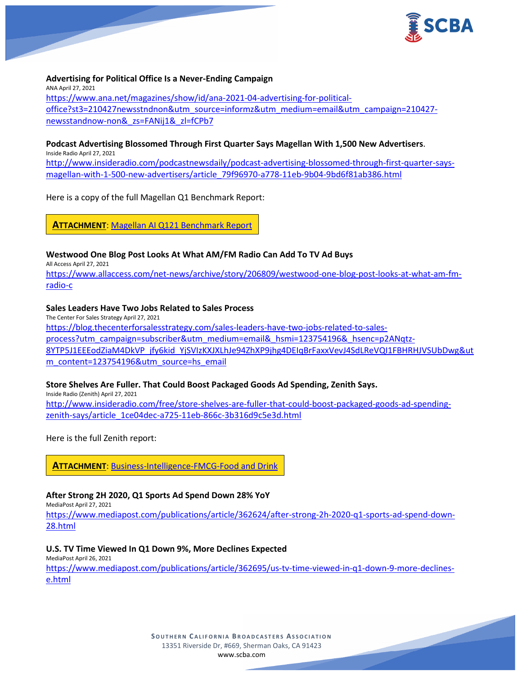

**Advertising for Political Office Is a Never-Ending Campaign** ANA April 27, 2021 [https://www.ana.net/magazines/show/id/ana-2021-04-advertising-for-political](https://www.ana.net/magazines/show/id/ana-2021-04-advertising-for-political-office?st3=210427newsstndnon&utm_source=informz&utm_medium=email&utm_campaign=210427-newsstandnow-non&_zs=FANij1&_zl=fCPb7)[office?st3=210427newsstndnon&utm\\_source=informz&utm\\_medium=email&utm\\_campaign=210427](https://www.ana.net/magazines/show/id/ana-2021-04-advertising-for-political-office?st3=210427newsstndnon&utm_source=informz&utm_medium=email&utm_campaign=210427-newsstandnow-non&_zs=FANij1&_zl=fCPb7) [newsstandnow-non&\\_zs=FANij1&\\_zl=fCPb7](https://www.ana.net/magazines/show/id/ana-2021-04-advertising-for-political-office?st3=210427newsstndnon&utm_source=informz&utm_medium=email&utm_campaign=210427-newsstandnow-non&_zs=FANij1&_zl=fCPb7)

# **Podcast Advertising Blossomed Through First Quarter Says Magellan With 1,500 New Advertisers**.

Inside Radio April 27, 2021 [http://www.insideradio.com/podcastnewsdaily/podcast-advertising-blossomed-through-first-quarter-says](http://www.insideradio.com/podcastnewsdaily/podcast-advertising-blossomed-through-first-quarter-says-magellan-with-1-500-new-advertisers/article_79f96970-a778-11eb-9b04-9bd6f81ab386.html)[magellan-with-1-500-new-advertisers/article\\_79f96970-a778-11eb-9b04-9bd6f81ab386.html](http://www.insideradio.com/podcastnewsdaily/podcast-advertising-blossomed-through-first-quarter-says-magellan-with-1-500-new-advertisers/article_79f96970-a778-11eb-9b04-9bd6f81ab386.html)

Here is a copy of the full Magellan Q1 Benchmark Report:

**ATTACHMENT**: [Magellan AI Q121 Benchmark Report](https://scba.com/magellan-ai-q121-benchmark-report/)

### **Westwood One Blog Post Looks At What AM/FM Radio Can Add To TV Ad Buys**

All Access April 27, 2021

[https://www.allaccess.com/net-news/archive/story/206809/westwood-one-blog-post-looks-at-what-am-fm](https://www.allaccess.com/net-news/archive/story/206809/westwood-one-blog-post-looks-at-what-am-fm-radio-c)[radio-c](https://www.allaccess.com/net-news/archive/story/206809/westwood-one-blog-post-looks-at-what-am-fm-radio-c)

### **Sales Leaders Have Two Jobs Related to Sales Process**

The Center For Sales Strategy April 27, 2021

[https://blog.thecenterforsalesstrategy.com/sales-leaders-have-two-jobs-related-to-sales](https://blog.thecenterforsalesstrategy.com/sales-leaders-have-two-jobs-related-to-sales-process?utm_campaign=subscriber&utm_medium=email&_hsmi=123754196&_hsenc=p2ANqtz-8YTP5J1EEEodZiaM4DkVP_jfy6kid_YjSVIzKXJXLhJe94ZhXP9jhg4DEIqBrFaxxVevJ4SdLReVQI1FBHRHJVSUbDwg&utm_content=123754196&utm_source=hs_email)[process?utm\\_campaign=subscriber&utm\\_medium=email&\\_hsmi=123754196&\\_hsenc=p2ANqtz-](https://blog.thecenterforsalesstrategy.com/sales-leaders-have-two-jobs-related-to-sales-process?utm_campaign=subscriber&utm_medium=email&_hsmi=123754196&_hsenc=p2ANqtz-8YTP5J1EEEodZiaM4DkVP_jfy6kid_YjSVIzKXJXLhJe94ZhXP9jhg4DEIqBrFaxxVevJ4SdLReVQI1FBHRHJVSUbDwg&utm_content=123754196&utm_source=hs_email)

[8YTP5J1EEEodZiaM4DkVP\\_jfy6kid\\_YjSVIzKXJXLhJe94ZhXP9jhg4DEIqBrFaxxVevJ4SdLReVQI1FBHRHJVSUbDwg&ut](https://blog.thecenterforsalesstrategy.com/sales-leaders-have-two-jobs-related-to-sales-process?utm_campaign=subscriber&utm_medium=email&_hsmi=123754196&_hsenc=p2ANqtz-8YTP5J1EEEodZiaM4DkVP_jfy6kid_YjSVIzKXJXLhJe94ZhXP9jhg4DEIqBrFaxxVevJ4SdLReVQI1FBHRHJVSUbDwg&utm_content=123754196&utm_source=hs_email) [m\\_content=123754196&utm\\_source=hs\\_email](https://blog.thecenterforsalesstrategy.com/sales-leaders-have-two-jobs-related-to-sales-process?utm_campaign=subscriber&utm_medium=email&_hsmi=123754196&_hsenc=p2ANqtz-8YTP5J1EEEodZiaM4DkVP_jfy6kid_YjSVIzKXJXLhJe94ZhXP9jhg4DEIqBrFaxxVevJ4SdLReVQI1FBHRHJVSUbDwg&utm_content=123754196&utm_source=hs_email)

### **Store Shelves Are Fuller. That Could Boost Packaged Goods Ad Spending, Zenith Says.**

Inside Radio (Zenith) April 27, 2021 [http://www.insideradio.com/free/store-shelves-are-fuller-that-could-boost-packaged-goods-ad-spending](http://www.insideradio.com/free/store-shelves-are-fuller-that-could-boost-packaged-goods-ad-spending-zenith-says/article_1ce04dec-a725-11eb-866c-3b316d9c5e3d.html)[zenith-says/article\\_1ce04dec-a725-11eb-866c-3b316d9c5e3d.html](http://www.insideradio.com/free/store-shelves-are-fuller-that-could-boost-packaged-goods-ad-spending-zenith-says/article_1ce04dec-a725-11eb-866c-3b316d9c5e3d.html)

Here is the full Zenith report:

**ATTACHMENT**: [Business-Intelligence-FMCG-Food and Drink](https://scba.com/business-intelligence-fmcg-food-and-drink-1/)

### **After Strong 2H 2020, Q1 Sports Ad Spend Down 28% YoY**

MediaPost April 27, 2021

[https://www.mediapost.com/publications/article/362624/after-strong-2h-2020-q1-sports-ad-spend-down-](https://www.mediapost.com/publications/article/362624/after-strong-2h-2020-q1-sports-ad-spend-down-28.html)[28.html](https://www.mediapost.com/publications/article/362624/after-strong-2h-2020-q1-sports-ad-spend-down-28.html)

#### **U.S. TV Time Viewed In Q1 Down 9%, More Declines Expected**

MediaPost April 26, 2021

[https://www.mediapost.com/publications/article/362695/us-tv-time-viewed-in-q1-down-9-more-declines](https://www.mediapost.com/publications/article/362695/us-tv-time-viewed-in-q1-down-9-more-declines-e.html)[e.html](https://www.mediapost.com/publications/article/362695/us-tv-time-viewed-in-q1-down-9-more-declines-e.html)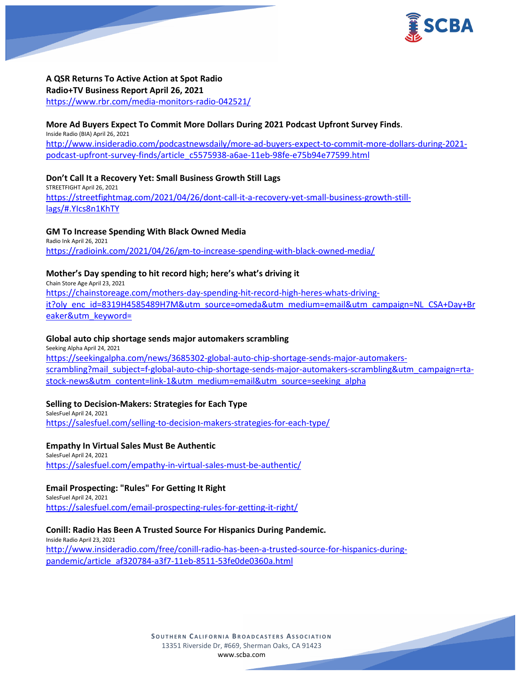

**A QSR Returns To Active Action at Spot Radio Radio+TV Business Report April 26, 2021** <https://www.rbr.com/media-monitors-radio-042521/>

### **More Ad Buyers Expect To Commit More Dollars During 2021 Podcast Upfront Survey Finds**.

Inside Radio (BIA) April 26, 2021 [http://www.insideradio.com/podcastnewsdaily/more-ad-buyers-expect-to-commit-more-dollars-during-2021](http://www.insideradio.com/podcastnewsdaily/more-ad-buyers-expect-to-commit-more-dollars-during-2021-podcast-upfront-survey-finds/article_c5575938-a6ae-11eb-98fe-e75b94e77599.html) [podcast-upfront-survey-finds/article\\_c5575938-a6ae-11eb-98fe-e75b94e77599.html](http://www.insideradio.com/podcastnewsdaily/more-ad-buyers-expect-to-commit-more-dollars-during-2021-podcast-upfront-survey-finds/article_c5575938-a6ae-11eb-98fe-e75b94e77599.html)

### **Don't Call It a Recovery Yet: Small Business Growth Still Lags**

STREETFIGHT April 26, 2021 [https://streetfightmag.com/2021/04/26/dont-call-it-a-recovery-yet-small-business-growth-still](https://streetfightmag.com/2021/04/26/dont-call-it-a-recovery-yet-small-business-growth-still-lags/#.YIcs8n1KhTY)[lags/#.YIcs8n1KhTY](https://streetfightmag.com/2021/04/26/dont-call-it-a-recovery-yet-small-business-growth-still-lags/#.YIcs8n1KhTY)

### **GM To Increase Spending With Black Owned Media**

Radio Ink April 26, 2021 <https://radioink.com/2021/04/26/gm-to-increase-spending-with-black-owned-media/>

### **Mother's Day spending to hit record high; here's what's driving it**

Chain Store Age April 23, 2021 [https://chainstoreage.com/mothers-day-spending-hit-record-high-heres-whats-driving](https://chainstoreage.com/mothers-day-spending-hit-record-high-heres-whats-driving-it?oly_enc_id=8319H4585489H7M&utm_source=omeda&utm_medium=email&utm_campaign=NL_CSA+Day+Breaker&utm_keyword=)[it?oly\\_enc\\_id=8319H4585489H7M&utm\\_source=omeda&utm\\_medium=email&utm\\_campaign=NL\\_CSA+Day+Br](https://chainstoreage.com/mothers-day-spending-hit-record-high-heres-whats-driving-it?oly_enc_id=8319H4585489H7M&utm_source=omeda&utm_medium=email&utm_campaign=NL_CSA+Day+Breaker&utm_keyword=) [eaker&utm\\_keyword=](https://chainstoreage.com/mothers-day-spending-hit-record-high-heres-whats-driving-it?oly_enc_id=8319H4585489H7M&utm_source=omeda&utm_medium=email&utm_campaign=NL_CSA+Day+Breaker&utm_keyword=)

#### **Global auto chip shortage sends major automakers scrambling**

Seeking Alpha April 24, 2021 [https://seekingalpha.com/news/3685302-global-auto-chip-shortage-sends-major-automakers](https://seekingalpha.com/news/3685302-global-auto-chip-shortage-sends-major-automakers-scrambling?mail_subject=f-global-auto-chip-shortage-sends-major-automakers-scrambling&utm_campaign=rta-stock-news&utm_content=link-1&utm_medium=email&utm_source=seeking_alpha)[scrambling?mail\\_subject=f-global-auto-chip-shortage-sends-major-automakers-scrambling&utm\\_campaign=rta](https://seekingalpha.com/news/3685302-global-auto-chip-shortage-sends-major-automakers-scrambling?mail_subject=f-global-auto-chip-shortage-sends-major-automakers-scrambling&utm_campaign=rta-stock-news&utm_content=link-1&utm_medium=email&utm_source=seeking_alpha)[stock-news&utm\\_content=link-1&utm\\_medium=email&utm\\_source=seeking\\_alpha](https://seekingalpha.com/news/3685302-global-auto-chip-shortage-sends-major-automakers-scrambling?mail_subject=f-global-auto-chip-shortage-sends-major-automakers-scrambling&utm_campaign=rta-stock-news&utm_content=link-1&utm_medium=email&utm_source=seeking_alpha)

#### **Selling to Decision-Makers: Strategies for Each Type**

SalesFuel April 24, 2021 <https://salesfuel.com/selling-to-decision-makers-strategies-for-each-type/>

#### **Empathy In Virtual Sales Must Be Authentic**

SalesFuel April 24, 2021 <https://salesfuel.com/empathy-in-virtual-sales-must-be-authentic/>

#### **Email Prospecting: "Rules" For Getting It Right**

SalesFuel April 24, 2021 <https://salesfuel.com/email-prospecting-rules-for-getting-it-right/>

#### **Conill: Radio Has Been A Trusted Source For Hispanics During Pandemic.**

Inside Radio April 23, 2021 [http://www.insideradio.com/free/conill-radio-has-been-a-trusted-source-for-hispanics-during](http://www.insideradio.com/free/conill-radio-has-been-a-trusted-source-for-hispanics-during-pandemic/article_af320784-a3f7-11eb-8511-53fe0de0360a.html)[pandemic/article\\_af320784-a3f7-11eb-8511-53fe0de0360a.html](http://www.insideradio.com/free/conill-radio-has-been-a-trusted-source-for-hispanics-during-pandemic/article_af320784-a3f7-11eb-8511-53fe0de0360a.html)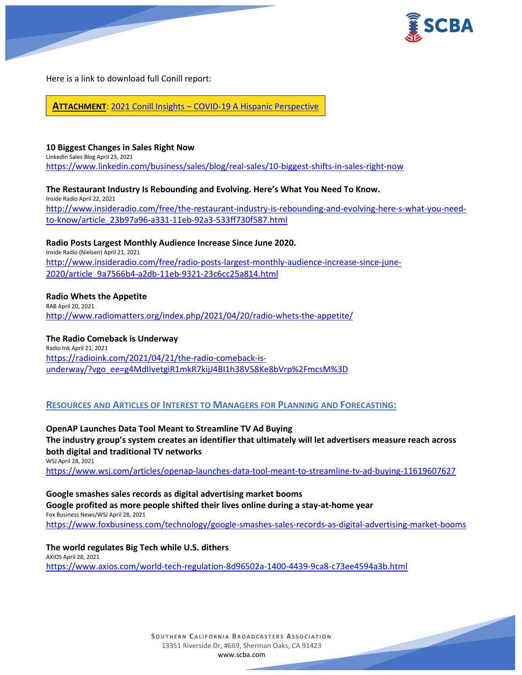



Here is a link to download full Conill report:

**ATTACHMENT**: 2021 Conill Insights – [COVID-19 A Hispanic Perspective](https://scba.com/2021-conill-insights-_-covid-19-a-hispanic-perspective_2021/)

## **10 Biggest Changes in Sales Right Now**

LinkedIn Sales Blog April 23, 2021 <https://www.linkedin.com/business/sales/blog/real-sales/10-biggest-shifts-in-sales-right-now>

**The Restaurant Industry Is Rebounding and Evolving. Here's What You Need To Know.**

Inside Radio April 22, 2021 [http://www.insideradio.com/free/the-restaurant-industry-is-rebounding-and-evolving-here-s-what-you-need](http://www.insideradio.com/free/the-restaurant-industry-is-rebounding-and-evolving-here-s-what-you-need-to-know/article_23b97a96-a331-11eb-92a3-533ff730f587.html)[to-know/article\\_23b97a96-a331-11eb-92a3-533ff730f587.html](http://www.insideradio.com/free/the-restaurant-industry-is-rebounding-and-evolving-here-s-what-you-need-to-know/article_23b97a96-a331-11eb-92a3-533ff730f587.html)

**Radio Posts Largest Monthly Audience Increase Since June 2020.** Inside Radio (Nielsen) April 21, 2021 [http://www.insideradio.com/free/radio-posts-largest-monthly-audience-increase-since-june-](http://www.insideradio.com/free/radio-posts-largest-monthly-audience-increase-since-june-2020/article_9a7566b4-a2db-11eb-9321-23c6cc25a814.html)[2020/article\\_9a7566b4-a2db-11eb-9321-23c6cc25a814.html](http://www.insideradio.com/free/radio-posts-largest-monthly-audience-increase-since-june-2020/article_9a7566b4-a2db-11eb-9321-23c6cc25a814.html)

# **Radio Whets the Appetite**

RAB April 20, 2021 <http://www.radiomatters.org/index.php/2021/04/20/radio-whets-the-appetite/>

# **The Radio Comeback is Underway**

Radio Ink April 21, 2021 [https://radioink.com/2021/04/21/the-radio-comeback-is](https://radioink.com/2021/04/21/the-radio-comeback-is-underway/?vgo_ee=g4MdIIvetgiR1mkR7kijJ4BI1h38V58Ke8bVrp%2FmcsM%3D)[underway/?vgo\\_ee=g4MdIIvetgiR1mkR7kijJ4BI1h38V58Ke8bVrp%2FmcsM%3D](https://radioink.com/2021/04/21/the-radio-comeback-is-underway/?vgo_ee=g4MdIIvetgiR1mkR7kijJ4BI1h38V58Ke8bVrp%2FmcsM%3D)

# **RESOURCES AND ARTICLES OF INTEREST TO MANAGERS FOR PLANNING AND FORECASTING:**

**OpenAP Launches Data Tool Meant to Streamline TV Ad Buying The industry group's system creates an identifier that ultimately will let advertisers measure reach across both digital and traditional TV networks** WSJ April 28, 2021 <https://www.wsj.com/articles/openap-launches-data-tool-meant-to-streamline-tv-ad-buying-11619607627>

**Google smashes sales records as digital advertising market booms Google profited as more people shifted their lives online during a stay-at-home year** Fox Business News/WSJ April 28, 2021 <https://www.foxbusiness.com/technology/google-smashes-sales-records-as-digital-advertising-market-booms>

# **The world regulates Big Tech while U.S. dithers**

AXIOS April 28, 2021 <https://www.axios.com/world-tech-regulation-8d96502a-1400-4439-9ca8-c73ee4594a3b.html>

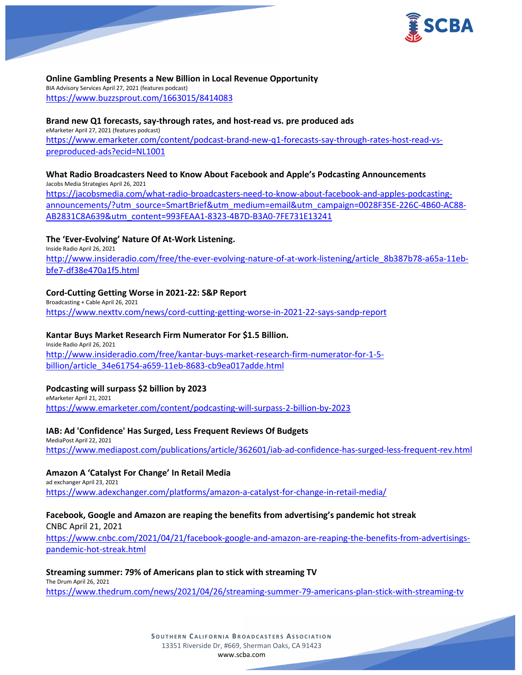

## **Online Gambling Presents a New Billion in Local Revenue Opportunity**

BIA Advisory Services April 27, 2021 (features podcast) <https://www.buzzsprout.com/1663015/8414083>

### **Brand new Q1 forecasts, say-through rates, and host-read vs. pre produced ads**

eMarketer April 27, 2021 (features podcast) [https://www.emarketer.com/content/podcast-brand-new-q1-forecasts-say-through-rates-host-read-vs](https://www.emarketer.com/content/podcast-brand-new-q1-forecasts-say-through-rates-host-read-vs-preproduced-ads?ecid=NL1001)[preproduced-ads?ecid=NL1001](https://www.emarketer.com/content/podcast-brand-new-q1-forecasts-say-through-rates-host-read-vs-preproduced-ads?ecid=NL1001)

#### **What Radio Broadcasters Need to Know About Facebook and Apple's Podcasting Announcements** Jacobs Media Strategies April 26, 2021

[https://jacobsmedia.com/what-radio-broadcasters-need-to-know-about-facebook-and-apples-podcasting](https://jacobsmedia.com/what-radio-broadcasters-need-to-know-about-facebook-and-apples-podcasting-announcements/?utm_source=SmartBrief&utm_medium=email&utm_campaign=0028F35E-226C-4B60-AC88-AB2831C8A639&utm_content=993FEAA1-8323-4B7D-B3A0-7FE731E13241)[announcements/?utm\\_source=SmartBrief&utm\\_medium=email&utm\\_campaign=0028F35E-226C-4B60-AC88-](https://jacobsmedia.com/what-radio-broadcasters-need-to-know-about-facebook-and-apples-podcasting-announcements/?utm_source=SmartBrief&utm_medium=email&utm_campaign=0028F35E-226C-4B60-AC88-AB2831C8A639&utm_content=993FEAA1-8323-4B7D-B3A0-7FE731E13241) [AB2831C8A639&utm\\_content=993FEAA1-8323-4B7D-B3A0-7FE731E13241](https://jacobsmedia.com/what-radio-broadcasters-need-to-know-about-facebook-and-apples-podcasting-announcements/?utm_source=SmartBrief&utm_medium=email&utm_campaign=0028F35E-226C-4B60-AC88-AB2831C8A639&utm_content=993FEAA1-8323-4B7D-B3A0-7FE731E13241)

# **The 'Ever-Evolving' Nature Of At-Work Listening.**

Inside Radio April 26, 2021 [http://www.insideradio.com/free/the-ever-evolving-nature-of-at-work-listening/article\\_8b387b78-a65a-11eb](http://www.insideradio.com/free/the-ever-evolving-nature-of-at-work-listening/article_8b387b78-a65a-11eb-bfe7-df38e470a1f5.html)[bfe7-df38e470a1f5.html](http://www.insideradio.com/free/the-ever-evolving-nature-of-at-work-listening/article_8b387b78-a65a-11eb-bfe7-df38e470a1f5.html)

### **Cord-Cutting Getting Worse in 2021-22: S&P Report**

Broadcasting + Cable April 26, 2021 <https://www.nexttv.com/news/cord-cutting-getting-worse-in-2021-22-says-sandp-report>

## **Kantar Buys Market Research Firm Numerator For \$1.5 Billion.**

Inside Radio April 26, 2021 [http://www.insideradio.com/free/kantar-buys-market-research-firm-numerator-for-1-5](http://www.insideradio.com/free/kantar-buys-market-research-firm-numerator-for-1-5-billion/article_34e61754-a659-11eb-8683-cb9ea017adde.html) [billion/article\\_34e61754-a659-11eb-8683-cb9ea017adde.html](http://www.insideradio.com/free/kantar-buys-market-research-firm-numerator-for-1-5-billion/article_34e61754-a659-11eb-8683-cb9ea017adde.html)

### **Podcasting will surpass \$2 billion by 2023**

eMarketer April 21, 2021 <https://www.emarketer.com/content/podcasting-will-surpass-2-billion-by-2023>

### **IAB: Ad 'Confidence' Has Surged, Less Frequent Reviews Of Budgets**

MediaPost April 22, 2021 <https://www.mediapost.com/publications/article/362601/iab-ad-confidence-has-surged-less-frequent-rev.html>

### **Amazon A 'Catalyst For Change' In Retail Media**

ad exchanger April 23, 2021 <https://www.adexchanger.com/platforms/amazon-a-catalyst-for-change-in-retail-media/>

# **Facebook, Google and Amazon are reaping the benefits from advertising's pandemic hot streak**

CNBC April 21, 2021

[https://www.cnbc.com/2021/04/21/facebook-google-and-amazon-are-reaping-the-benefits-from-advertisings](https://www.cnbc.com/2021/04/21/facebook-google-and-amazon-are-reaping-the-benefits-from-advertisings-pandemic-hot-streak.html)[pandemic-hot-streak.html](https://www.cnbc.com/2021/04/21/facebook-google-and-amazon-are-reaping-the-benefits-from-advertisings-pandemic-hot-streak.html)

### **Streaming summer: 79% of Americans plan to stick with streaming TV**

The Drum April 26, 2021 <https://www.thedrum.com/news/2021/04/26/streaming-summer-79-americans-plan-stick-with-streaming-tv>